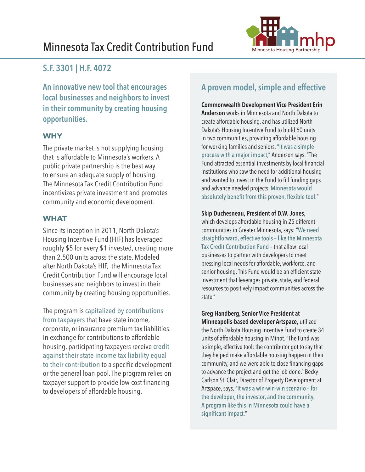# Minnesota Tax Credit Contribution Fund Minnesota Housing Partnership



### **S.F. 3301 | H.F. 4072**

**An innovative new tool that encourages local businesses and neighbors to invest in their community by creating housing opportunities.**

### **WHY**

The private market is not supplying housing that is affordable to Minnesota's workers. A public private partnership is the best way to ensure an adequate supply of housing. The Minnesota Tax Credit Contribution Fund incentivizes private investment and promotes community and economic development.

### **WHAT**

Since its inception in 2011, North Dakota's Housing Incentive Fund (HIF) has leveraged roughly \$5 for every \$1 invested, creating more than 2,500 units across the state. Modeled after North Dakota's HIF, the Minnesota Tax Credit Contribution Fund will encourage local businesses and neighbors to invest in their community by creating housing opportunities.

The program is capitalized by contributions from taxpayers that have state income, corporate, or insurance premium tax liabilities. In exchange for contributions to affordable housing, participating taxpayers receive credit against their state income tax liability equal to their contribution to a specific development or the general loan pool. The program relies on taxpayer support to provide low-cost financing to developers of affordable housing.

## **A proven model, simple and effective**

### **Commonwealth Development Vice President Erin**

**Anderson** works in Minnesota and North Dakota to create affordable housing, and has utilized North Dakota's Housing Incentive Fund to build 60 units in two communities, providing affordable housing for working families and seniors. "It was a simple process with a major impact," Anderson says. "The Fund attracted essential investments by local financial institutions who saw the need for additional housing and wanted to invest in the Fund to fill funding gaps and advance needed projects. Minnesota would absolutely benefit from this proven, flexible tool."

#### **Skip Duchesneau, President of D.W. Jones**,

which develops affordable housing in 25 different communities in Greater Minnesota, says: "We need straightforward, effective tools – like the Minnesota Tax Credit Contribution Fund – that allow local businesses to partner with developers to meet pressing local needs for affordable, workforce, and senior housing. This Fund would be an efficient state investment that leverages private, state, and federal resources to positively impact communities across the state."

**Greg Handberg, Senior Vice President at Minneapolis-based developer Artspace,** utilized the North Dakota Housing Incentive Fund to create 34 units of affordable housing in Minot. "The Fund was a simple, effective tool; the contributor got to say that they helped make affordable housing happen in their community, and we were able to close financing gaps to advance the project and get the job done." Becky Carlson St. Clair, Director of Property Development at Artspace, says, "It was a win-win-win scenario – for the developer, the investor, and the community. A program like this in Minnesota could have a significant impact."